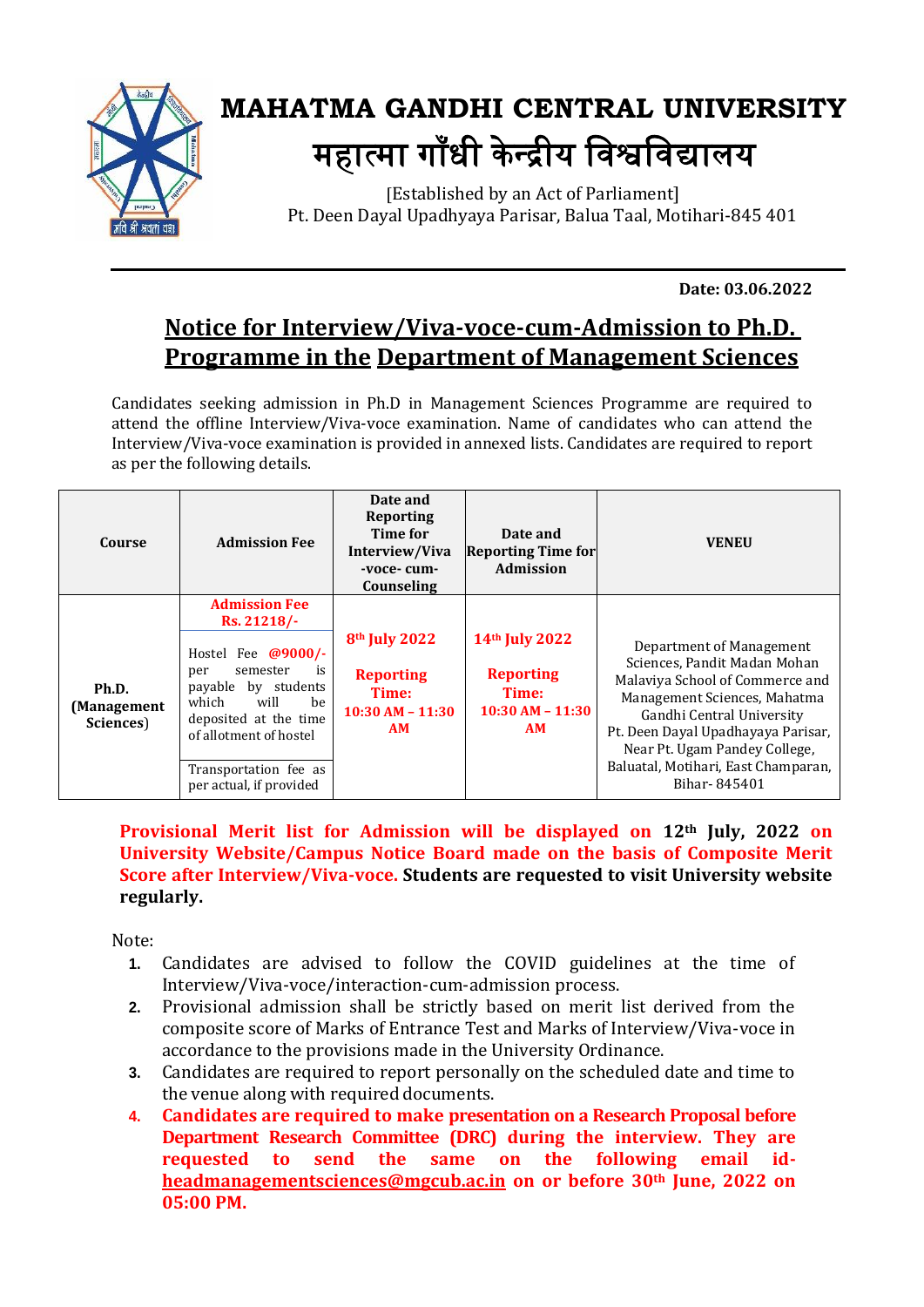

## **MAHATMA GANDHI CENTRAL UNIVERSITY** महात्मा गााँधी के न्द्रीय विश्वविद्यालय

[Established by an Act of Parliament] Pt. Deen Dayal Upadhyaya Parisar, Balua Taal, Motihari-845 401

**Date: 03.06.2022**

## **Notice for Interview/Viva-voce-cum-Admission to Ph.D. Programme in the Department of Management Sciences**

Candidates seeking admission in Ph.D in Management Sciences Programme are required to attend the offline Interview/Viva-voce examination. Name of candidates who can attend the Interview/Viva-voce examination is provided in annexed lists. Candidates are required to report as per the following details.

| Course                            | <b>Admission Fee</b>                                                                                                                                                                                                                   | Date and<br><b>Reporting</b><br>Time for<br>Interview/Viva<br>-voce-cum-<br>Counseling      | Date and<br><b>Reporting Time for</b><br><b>Admission</b>                 | <b>VENEU</b>                                                                                                                                                                                                                                                                           |
|-----------------------------------|----------------------------------------------------------------------------------------------------------------------------------------------------------------------------------------------------------------------------------------|---------------------------------------------------------------------------------------------|---------------------------------------------------------------------------|----------------------------------------------------------------------------------------------------------------------------------------------------------------------------------------------------------------------------------------------------------------------------------------|
| Ph.D.<br>(Management<br>Sciences) | <b>Admission Fee</b><br>Rs. 21218/<br>Hostel Fee @9000/-<br>semester<br>is<br>per<br>payable by students<br>which<br>will<br>be<br>deposited at the time<br>of allotment of hostel<br>Transportation fee as<br>per actual, if provided | 8 <sup>th</sup> July 2022<br><b>Reporting</b><br>Time:<br>$10:30$ AM $- 11:30$<br><b>AM</b> | 14th July 2022<br><b>Reporting</b><br>Time:<br>$10:30$ AM $- 11:30$<br>AM | Department of Management<br>Sciences, Pandit Madan Mohan<br>Malaviya School of Commerce and<br>Management Sciences, Mahatma<br>Gandhi Central University<br>Pt. Deen Dayal Upadhayaya Parisar,<br>Near Pt. Ugam Pandey College,<br>Baluatal, Motihari, East Champaran,<br>Bihar-845401 |

**Provisional Merit list for Admission will be displayed on 12th July, 2022 on University Website/Campus Notice Board made on the basis of Composite Merit Score after Interview/Viva-voce. Students are requested to visit University website regularly.**

Note:

- **1.** Candidates are advised to follow the COVID guidelines at the time of Interview/Viva-voce/interaction-cum-admission process.
- **2.** Provisional admission shall be strictly based on merit list derived from the composite score of Marks of Entrance Test and Marks of Interview/Viva-voce in accordance to the provisions made in the University Ordinance.
- **3.** Candidates are required to report personally on the scheduled date and time to the venue along with required documents.
- **4. Candidates are required to make presentation on a Research Proposal before Department Research Committee (DRC) during the interview. They are requested to send the same on the following email id[headmanagementsciences@mgcub.ac.in](mailto:headmanagementsciences@mgcub.ac.in) on or before 30th June, 2022 on 05:00 PM.**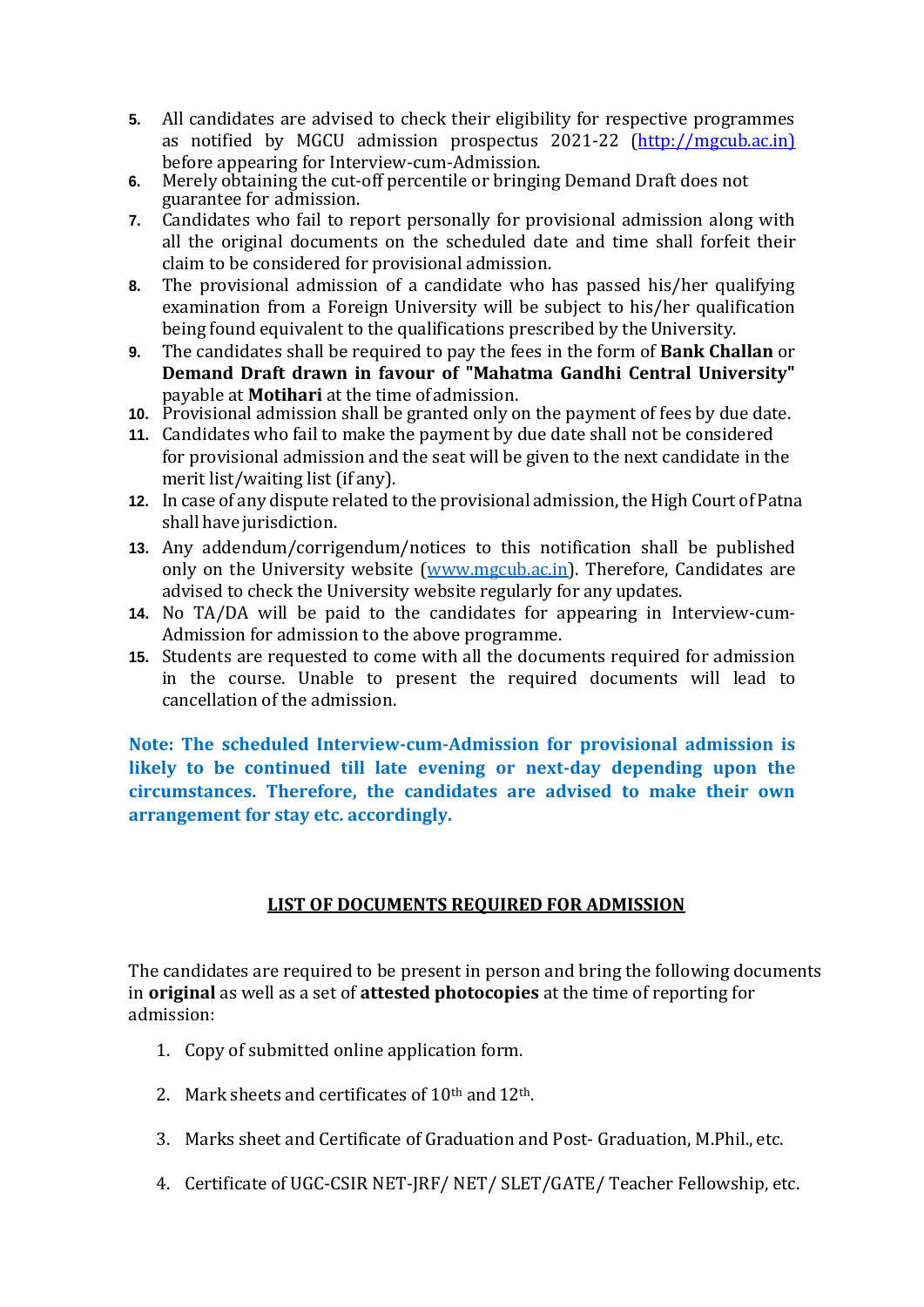- **5.** All candidates are advised to check their eligibility for respective programmes as notified by MGCU admission prospectus 2021-22 [\(http://mgcub.ac.in\)](http://mgcub.ac.in)/) before appearing for Interview-cum-Admission.
- **6.** Merely obtaining the cut-off percentile or bringing Demand Draft does not guarantee for admission.
- **7.** Candidates who fail to report personally for provisional admission along with all the original documents on the scheduled date and time shall forfeit their claim to be considered for provisional admission.
- **8.** The provisional admission of a candidate who has passed his/her qualifying examination from a Foreign University will be subject to his/her qualification being found equivalent to the qualifications prescribed by the University.
- **9.** The candidates shall be required to pay the fees in the form of **Bank Challan** or **Demand Draft drawn in favour of "Mahatma Gandhi Central University"**  payable at **Motihari** at the time ofadmission.
- **10.** Provisional admission shall be granted only on the payment of fees by due date.
- **11.** Candidates who fail to make the payment by due date shall not be considered for provisional admission and the seat will be given to the next candidate in the merit list/waiting list (if any).
- 12. In case of any dispute related to the provisional admission, the High Court of Patna shall have jurisdiction.
- **13.** Any addendum/corrigendum/notices to this notification shall be published only on the University website [\(www.mgcub.ac.in\)](http://www.mgcub.ac.in/). Therefore, Candidates are advised to check the University website regularly for any updates.
- **14.** No TA/DA will be paid to the candidates for appearing in Interview-cum-Admission for admission to the above programme.
- **15.** Students are requested to come with all the documents required for admission in the course. Unable to present the required documents will lead to cancellation of the admission.

**Note: The scheduled Interview-cum-Admission for provisional admission is likely to be continued till late evening or next-day depending upon the circumstances. Therefore, the candidates are advised to make their own arrangement for stay etc. accordingly.**

## **LIST OF DOCUMENTS REQUIRED FOR ADMISSION**

The candidates are required to be present in person and bring the following documents in **original** as well as a set of **attested photocopies** at the time of reporting for admission:

- 1. Copy of submitted online application form.
- 2. Mark sheets and certificates of  $10<sup>th</sup>$  and  $12<sup>th</sup>$ .
- 3. Marks sheet and Certificate of Graduation and Post- Graduation, M.Phil., etc.
- 4. Certificate of UGC-CSIR NET-JRF/ NET/ SLET/GATE/ Teacher Fellowship, etc.